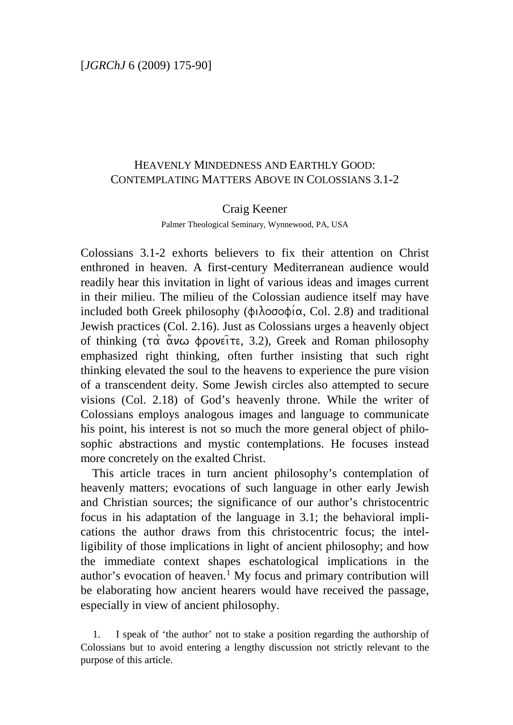# HEAVENLY MINDEDNESS AND EARTHLY GOOD: CONTEMPLATING MATTERS ABOVE IN COLOSSIANS 3.1-2

### Craig Keener

Palmer Theological Seminary, Wynnewood, PA, USA

Colossians 3.1-2 exhorts believers to fix their attention on Christ enthroned in heaven. A first-century Mediterranean audience would readily hear this invitation in light of various ideas and images current in their milieu. The milieu of the Colossian audience itself may have included both Greek philosophy ( $\phi \iota \lambda$ ooo $\phi \iota \alpha$ , Col. 2.8) and traditional Jewish practices (Col. 2.16). Just as Colossians urges a heavenly object of thinking  $(\tau\alpha \alpha \alpha \phi)$  of thinking  $(\tau\alpha \alpha \alpha \phi)$  fronch  $\alpha$ . Greek and Roman philosophy emphasized right thinking, often further insisting that such right thinking elevated the soul to the heavens to experience the pure vision of a transcendent deity. Some Jewish circles also attempted to secure visions (Col. 2.18) of God's heavenly throne. While the writer of Colossians employs analogous images and language to communicate his point, his interest is not so much the more general object of philosophic abstractions and mystic contemplations. He focuses instead more concretely on the exalted Christ.

This article traces in turn ancient philosophy's contemplation of heavenly matters; evocations of such language in other early Jewish and Christian sources; the significance of our author's christocentric focus in his adaptation of the language in 3.1; the behavioral implications the author draws from this christocentric focus; the intelligibility of those implications in light of ancient philosophy; and how the immediate context shapes eschatological implications in the author's evocation of heaven.<sup>[1](#page-0-0)</sup> My focus and primary contribution will be elaborating how ancient hearers would have received the passage, especially in view of ancient philosophy.

<span id="page-0-0"></span>1. I speak of 'the author' not to stake a position regarding the authorship of Colossians but to avoid entering a lengthy discussion not strictly relevant to the purpose of this article.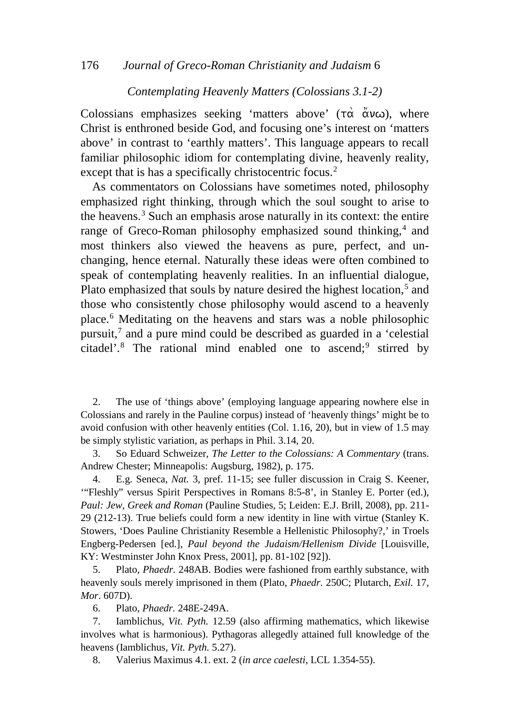#### 176 *Journal of Greco-Roman Christianity and Judaism* 6

#### *Contemplating Heavenly Matters (Colossians 3.1-2)*

Colossians emphasizes seeking 'matters above'  $(\tau \alpha \ \alpha \nu \omega)$ , where Christ is enthroned beside God, and focusing one's interest on 'matters above' in contrast to 'earthly matters'. This language appears to recall familiar philosophic idiom for contemplating divine, heavenly reality, except that is has a specifically christocentric focus.<sup>[2](#page-1-0)</sup>

As commentators on Colossians have sometimes noted, philosophy emphasized right thinking, through which the soul sought to arise to the heavens.[3](#page-1-1) Such an emphasis arose naturally in its context: the entire range of Greco-Roman philosophy emphasized sound thinking,<sup>[4](#page-1-2)</sup> and most thinkers also viewed the heavens as pure, perfect, and unchanging, hence eternal. Naturally these ideas were often combined to speak of contemplating heavenly realities. In an influential dialogue, Plato emphasized that souls by nature desired the highest location,<sup>[5](#page-1-3)</sup> and those who consistently chose philosophy would ascend to a heavenly place.[6](#page-1-4) Meditating on the heavens and stars was a noble philosophic pursuit,[7](#page-1-5) and a pure mind could be described as guarded in a 'celestial citadel'.<sup>[8](#page-1-6)</sup> The rational mind enabled one to ascend;<sup>[9](#page-1-7)</sup> stirred by

<span id="page-1-7"></span><span id="page-1-0"></span>2. The use of 'things above' (employing language appearing nowhere else in Colossians and rarely in the Pauline corpus) instead of 'heavenly things' might be to avoid confusion with other heavenly entities (Col. 1.16, 20), but in view of 1.5 may be simply stylistic variation, as perhaps in Phil. 3.14, 20.

<span id="page-1-1"></span>3. So Eduard Schweizer, *The Letter to the Colossians: A Commentary* (trans. Andrew Chester; Minneapolis: Augsburg, 1982), p. 175.

<span id="page-1-2"></span>4. E.g. Seneca, *Nat.* 3, pref. 11-15; see fuller discussion in Craig S. Keener, '"Fleshly" versus Spirit Perspectives in Romans 8:5-8', in Stanley E. Porter (ed.), *Paul: Jew, Greek and Roman* (Pauline Studies, 5; Leiden: E.J. Brill, 2008), pp. 211- 29 (212-13). True beliefs could form a new identity in line with virtue (Stanley K. Stowers, 'Does Pauline Christianity Resemble a Hellenistic Philosophy?,' in Troels Engberg-Pedersen [ed.], *Paul beyond the Judaism/Hellenism Divide* [Louisville, KY: Westminster John Knox Press, 2001], pp. 81-102 [92]).

<span id="page-1-3"></span>5. Plato, *Phaedr.* 248AB. Bodies were fashioned from earthly substance, with heavenly souls merely imprisoned in them (Plato, *Phaedr.* 250C; Plutarch, *Exil.* 17, *Mor*. 607D).

6. Plato, *Phaedr.* 248E-249A.

<span id="page-1-6"></span><span id="page-1-5"></span><span id="page-1-4"></span>7. Iamblichus, *Vit. Pyth.* 12.59 (also affirming mathematics, which likewise involves what is harmonious). Pythagoras allegedly attained full knowledge of the heavens (Iamblichus, *Vit. Pyth.* 5.27).

8. Valerius Maximus 4.1. ext. 2 (*in arce caelesti*, LCL 1.354-55).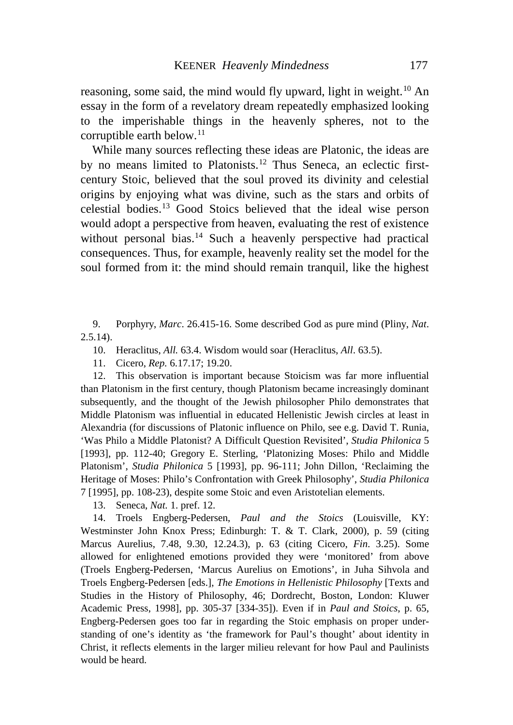reasoning, some said, the mind would fly upward, light in weight.<sup>[10](#page-2-0)</sup> An essay in the form of a revelatory dream repeatedly emphasized looking to the imperishable things in the heavenly spheres, not to the corruptible earth below.<sup>[11](#page-2-1)</sup>

While many sources reflecting these ideas are Platonic, the ideas are by no means limited to Platonists.<sup>[12](#page-2-2)</sup> Thus Seneca, an eclectic firstcentury Stoic, believed that the soul proved its divinity and celestial origins by enjoying what was divine, such as the stars and orbits of celestial bodies.[13](#page-2-3) Good Stoics believed that the ideal wise person would adopt a perspective from heaven, evaluating the rest of existence without personal bias.<sup>[14](#page-2-4)</sup> Such a heavenly perspective had practical consequences. Thus, for example, heavenly reality set the model for the soul formed from it: the mind should remain tranquil, like the highest

<span id="page-2-0"></span>9. Porphyry, *Marc*. 26.415-16. Some described God as pure mind (Pliny, *Nat*.  $2.5.14$ ).

10. Heraclitus, *All.* 63.4. Wisdom would soar (Heraclitus, *All*. 63.5).

11. Cicero, *Rep.* 6.17.17; 19.20.

<span id="page-2-2"></span><span id="page-2-1"></span>12. This observation is important because Stoicism was far more influential than Platonism in the first century, though Platonism became increasingly dominant subsequently, and the thought of the Jewish philosopher Philo demonstrates that Middle Platonism was influential in educated Hellenistic Jewish circles at least in Alexandria (for discussions of Platonic influence on Philo, see e.g. David T. Runia, 'Was Philo a Middle Platonist? A Difficult Question Revisited', *Studia Philonica* 5 [1993], pp. 112-40; Gregory E. Sterling, 'Platonizing Moses: Philo and Middle Platonism', *Studia Philonica* 5 [1993], pp. 96-111; John Dillon, 'Reclaiming the Heritage of Moses: Philo's Confrontation with Greek Philosophy', *Studia Philonica* 7 [1995], pp. 108-23), despite some Stoic and even Aristotelian elements.

13. Seneca, *Nat.* 1. pref. 12.

<span id="page-2-4"></span><span id="page-2-3"></span>14. Troels Engberg-Pedersen, *Paul and the Stoics* (Louisville, KY: Westminster John Knox Press; Edinburgh: T. & T. Clark, 2000), p. 59 (citing Marcus Aurelius, 7.48, 9.30, 12.24.3), p. 63 (citing Cicero, *Fin*. 3.25). Some allowed for enlightened emotions provided they were 'monitored' from above (Troels Engberg-Pedersen, 'Marcus Aurelius on Emotions', in Juha Sihvola and Troels Engberg-Pedersen [eds.], *The Emotions in Hellenistic Philosophy* [Texts and Studies in the History of Philosophy, 46; Dordrecht, Boston, London: Kluwer Academic Press, 1998], pp. 305-37 [334-35]). Even if in *Paul and Stoics*, p. 65, Engberg-Pedersen goes too far in regarding the Stoic emphasis on proper understanding of one's identity as 'the framework for Paul's thought' about identity in Christ, it reflects elements in the larger milieu relevant for how Paul and Paulinists would be heard.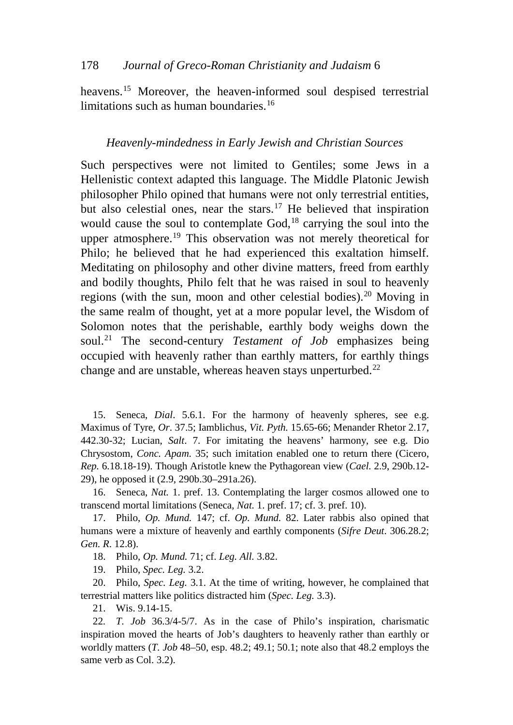heavens.<sup>[15](#page-3-0)</sup> Moreover, the heaven-informed soul despised terrestrial limitations such as human boundaries.<sup>[16](#page-3-1)</sup>

### *Heavenly-mindedness in Early Jewish and Christian Sources*

Such perspectives were not limited to Gentiles; some Jews in a Hellenistic context adapted this language. The Middle Platonic Jewish philosopher Philo opined that humans were not only terrestrial entities, but also celestial ones, near the stars.<sup>[17](#page-3-2)</sup> He believed that inspiration would cause the soul to contemplate God,<sup>[18](#page-3-3)</sup> carrying the soul into the upper atmosphere.<sup>[19](#page-3-4)</sup> This observation was not merely theoretical for Philo; he believed that he had experienced this exaltation himself. Meditating on philosophy and other divine matters, freed from earthly and bodily thoughts, Philo felt that he was raised in soul to heavenly regions (with the sun, moon and other celestial bodies).<sup>[20](#page-3-5)</sup> Moving in the same realm of thought, yet at a more popular level, the Wisdom of Solomon notes that the perishable, earthly body weighs down the soul.[21](#page-3-6) The second-century *Testament of Job* emphasizes being occupied with heavenly rather than earthly matters, for earthly things change and are unstable, whereas heaven stays unperturbed.<sup>[22](#page-3-7)</sup>

<span id="page-3-0"></span>15. Seneca, *Dial*. 5.6.1. For the harmony of heavenly spheres, see e.g. Maximus of Tyre, *Or*. 37.5; Iamblichus, *Vit. Pyth.* 15.65-66; Menander Rhetor 2.17, 442.30-32; Lucian, *Salt*. 7. For imitating the heavens' harmony, see e.g. Dio Chrysostom, *Conc. Apam.* 35; such imitation enabled one to return there (Cicero, *Rep.* 6.18.18-19). Though Aristotle knew the Pythagorean view (*Cael.* 2.9, 290b.12- 29), he opposed it (2.9, 290b.30–291a.26).

<span id="page-3-1"></span>16. Seneca, *Nat.* 1. pref. 13. Contemplating the larger cosmos allowed one to transcend mortal limitations (Seneca, *Nat.* 1. pref. 17; cf. 3. pref. 10).

<span id="page-3-2"></span>17. Philo, *Op. Mund.* 147; cf. *Op. Mund.* 82. Later rabbis also opined that humans were a mixture of heavenly and earthly components (*Sifre Deut*. 306.28.2; *Gen. R*. 12.8).

18. Philo, *Op. Mund.* 71; cf. *Leg. All.* 3.82.

19. Philo, *Spec. Leg.* 3.2.

<span id="page-3-5"></span><span id="page-3-4"></span><span id="page-3-3"></span>20. Philo, *Spec. Leg.* 3.1. At the time of writing, however, he complained that terrestrial matters like politics distracted him (*Spec. Leg.* 3.3).

21. Wis. 9.14-15.

<span id="page-3-7"></span><span id="page-3-6"></span>22*. T. Job* 36.3/4-5/7. As in the case of Philo's inspiration, charismatic inspiration moved the hearts of Job's daughters to heavenly rather than earthly or worldly matters (*T. Job* 48–50, esp. 48.2; 49.1; 50.1; note also that 48.2 employs the same verb as Col. 3.2).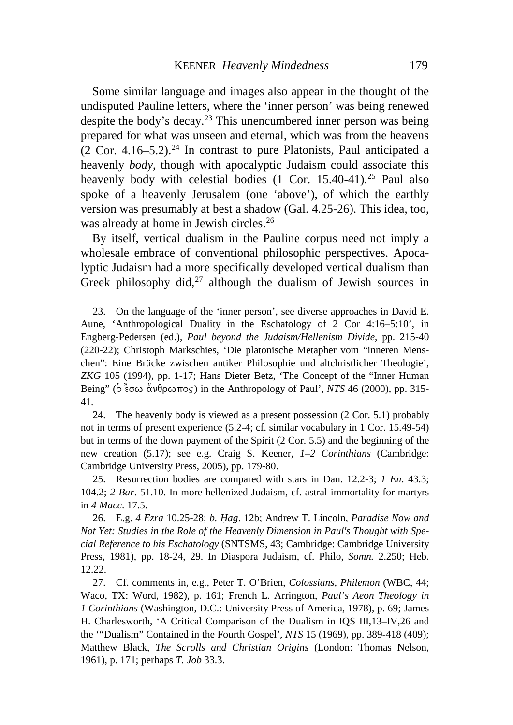Some similar language and images also appear in the thought of the undisputed Pauline letters, where the 'inner person' was being renewed despite the body's decay.<sup>[23](#page-4-0)</sup> This unencumbered inner person was being prepared for what was unseen and eternal, which was from the heavens (2 Cor. 4.16–5.2).<sup>[24](#page-4-1)</sup> In contrast to pure Platonists, Paul anticipated a heavenly *body*, though with apocalyptic Judaism could associate this heavenly body with celestial bodies  $(1 \text{ Cor. } 15.40-41).^{25}$  $(1 \text{ Cor. } 15.40-41).^{25}$  $(1 \text{ Cor. } 15.40-41).^{25}$  Paul also spoke of a heavenly Jerusalem (one 'above'), of which the earthly version was presumably at best a shadow (Gal. 4.25-26). This idea, too, was already at home in Jewish circles.<sup>[26](#page-4-3)</sup>

By itself, vertical dualism in the Pauline corpus need not imply a wholesale embrace of conventional philosophic perspectives. Apocalyptic Judaism had a more specifically developed vertical dualism than Greek philosophy did, $27$  although the dualism of Jewish sources in

<span id="page-4-0"></span>23. On the language of the 'inner person', see diverse approaches in David E. Aune, 'Anthropological Duality in the Eschatology of 2 Cor 4:16–5:10', in Engberg-Pedersen (ed.), *Paul beyond the Judaism/Hellenism Divide*, pp. 215-40 (220-22); Christoph Markschies, 'Die platonische Metapher vom "inneren Menschen": Eine Brücke zwischen antiker Philosophie und altchristlicher Theologie', *ZKG* 105 (1994), pp. 1-17; Hans Dieter Betz, 'The Concept of the "Inner Human Being" ( $\delta$ 'εσω άνθρωπος) in the Anthropology of Paul', *NTS* 46 (2000), pp. 315-41.

<span id="page-4-1"></span>24. The heavenly body is viewed as a present possession (2 Cor. 5.1) probably not in terms of present experience (5.2-4; cf. similar vocabulary in 1 Cor. 15.49-54) but in terms of the down payment of the Spirit (2 Cor. 5.5) and the beginning of the new creation (5.17); see e.g. Craig S. Keener, *1–2 Corinthians* (Cambridge: Cambridge University Press, 2005), pp. 179-80.

<span id="page-4-2"></span>25. Resurrection bodies are compared with stars in Dan. 12.2-3; *1 En*. 43.3; 104.2; *2 Bar*. 51.10. In more hellenized Judaism, cf. astral immortality for martyrs in *4 Macc*. 17.5.

<span id="page-4-3"></span>26. E.g. 4 Ezra 10.25-28; *b. Hag.* 12b; Andrew T. Lincoln, *Paradise Now and Not Yet: Studies in the Role of the Heavenly Dimension in Paul's Thought with Special Reference to his Eschatology* (SNTSMS, 43; Cambridge: Cambridge University Press, 1981), pp. 18-24, 29. In Diaspora Judaism, cf. Philo, *Somn.* 2.250; Heb. 12.22.

<span id="page-4-4"></span>27. Cf. comments in, e.g., Peter T. O'Brien, *Colossians, Philemon* (WBC, 44; Waco, TX: Word, 1982), p. 161; French L. Arrington, *Paul's Aeon Theology in 1 Corinthians* (Washington, D.C.: University Press of America, 1978), p. 69; James H. Charlesworth, 'A Critical Comparison of the Dualism in IQS III,13–IV,26 and the '"Dualism" Contained in the Fourth Gospel', *NTS* 15 (1969), pp. 389-418 (409); Matthew Black, *The Scrolls and Christian Origins* (London: Thomas Nelson, 1961), p. 171; perhaps *T. Job* 33.3.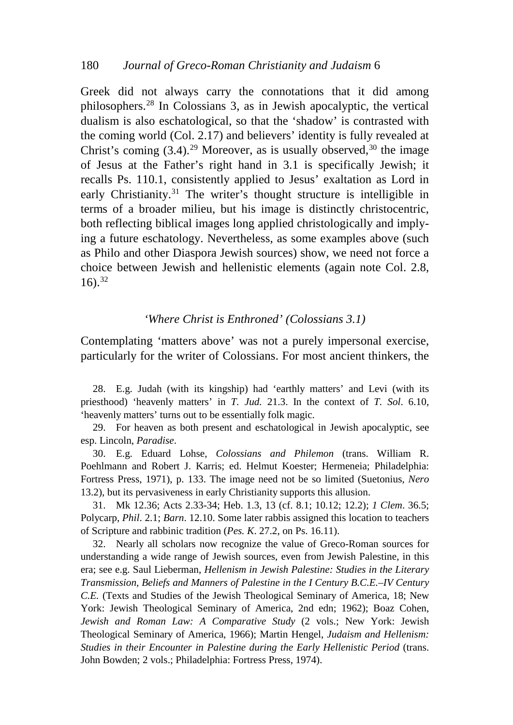Greek did not always carry the connotations that it did among philosophers.[28](#page-5-0) In Colossians 3, as in Jewish apocalyptic, the vertical dualism is also eschatological, so that the 'shadow' is contrasted with the coming world (Col. 2.17) and believers' identity is fully revealed at Christ's coming  $(3.4)$ <sup>[29](#page-5-1)</sup> Moreover, as is usually observed, <sup>[30](#page-5-2)</sup> the image of Jesus at the Father's right hand in 3.1 is specifically Jewish; it recalls Ps. 110.1, consistently applied to Jesus' exaltation as Lord in early Christianity.[31](#page-5-3) The writer's thought structure is intelligible in terms of a broader milieu, but his image is distinctly christocentric, both reflecting biblical images long applied christologically and implying a future eschatology. Nevertheless, as some examples above (such as Philo and other Diaspora Jewish sources) show, we need not force a choice between Jewish and hellenistic elements (again note Col. 2.8,  $16$ ).<sup>[32](#page-5-4)</sup>

### *'Where Christ is Enthroned' (Colossians 3.1)*

Contemplating 'matters above' was not a purely impersonal exercise, particularly for the writer of Colossians. For most ancient thinkers, the

<span id="page-5-0"></span>28. E.g. Judah (with its kingship) had 'earthly matters' and Levi (with its priesthood) 'heavenly matters' in *T. Jud.* 21.3. In the context of *T. Sol*. 6.10, 'heavenly matters' turns out to be essentially folk magic.

<span id="page-5-1"></span>29. For heaven as both present and eschatological in Jewish apocalyptic, see esp. Lincoln, *Paradise*.

<span id="page-5-2"></span>30. E.g. Eduard Lohse, *Colossians and Philemon* (trans. William R. Poehlmann and Robert J. Karris; ed. Helmut Koester; Hermeneia; Philadelphia: Fortress Press, 1971), p. 133. The image need not be so limited (Suetonius, *Nero* 13.2), but its pervasiveness in early Christianity supports this allusion.

<span id="page-5-3"></span>31. Mk 12.36; Acts 2.33-34; Heb. 1.3, 13 (cf. 8.1; 10.12; 12.2); *1 Clem*. 36.5; Polycarp, *Phil*. 2.1; *Barn*. 12.10. Some later rabbis assigned this location to teachers of Scripture and rabbinic tradition (*Pes. K*. 27.2, on Ps. 16.11).

<span id="page-5-4"></span>32. Nearly all scholars now recognize the value of Greco-Roman sources for understanding a wide range of Jewish sources, even from Jewish Palestine, in this era; see e.g. Saul Lieberman, *Hellenism in Jewish Palestine: Studies in the Literary Transmission, Beliefs and Manners of Palestine in the I Century B.C.E.–IV Century C.E.* (Texts and Studies of the Jewish Theological Seminary of America, 18; New York: Jewish Theological Seminary of America, 2nd edn; 1962); Boaz Cohen, *Jewish and Roman Law: A Comparative Study* (2 vols.; New York: Jewish Theological Seminary of America, 1966); Martin Hengel, *Judaism and Hellenism: Studies in their Encounter in Palestine during the Early Hellenistic Period* (trans. John Bowden; 2 vols.; Philadelphia: Fortress Press, 1974).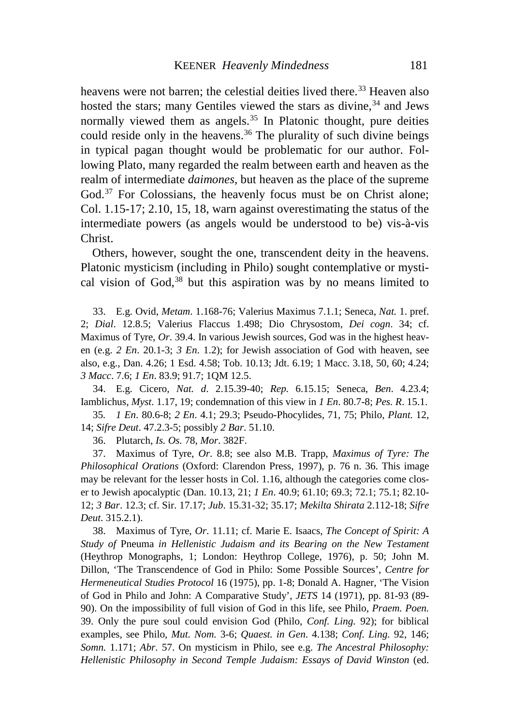heavens were not barren; the celestial deities lived there.<sup>[33](#page-6-0)</sup> Heaven also hosted the stars; many Gentiles viewed the stars as divine,<sup>[34](#page-6-1)</sup> and Jews normally viewed them as angels.<sup>[35](#page-6-2)</sup> In Platonic thought, pure deities could reside only in the heavens.<sup>[36](#page-6-3)</sup> The plurality of such divine beings in typical pagan thought would be problematic for our author. Following Plato, many regarded the realm between earth and heaven as the realm of intermediate *daimones*, but heaven as the place of the supreme God.<sup>[37](#page-6-4)</sup> For Colossians, the heavenly focus must be on Christ alone; Col. 1.15-17; 2.10, 15, 18, warn against overestimating the status of the intermediate powers (as angels would be understood to be) vis-à-vis Christ.

Others, however, sought the one, transcendent deity in the heavens. Platonic mysticism (including in Philo) sought contemplative or mysti-cal vision of God,<sup>[38](#page-6-5)</sup> but this aspiration was by no means limited to

<span id="page-6-0"></span>33. E.g. Ovid, *Metam*. 1.168-76; Valerius Maximus 7.1.1; Seneca, *Nat.* 1. pref. 2; *Dial*. 12.8.5; Valerius Flaccus 1.498; Dio Chrysostom, *Dei cogn*. 34; cf. Maximus of Tyre, *Or*. 39.4. In various Jewish sources, God was in the highest heaven (e.g. *2 En*. 20.1-3; *3 En*. 1.2); for Jewish association of God with heaven, see also, e.g., Dan. 4.26; 1 Esd. 4.58; Tob. 10.13; Jdt. 6.19; 1 Macc. 3.18, 50, 60; 4.24; *3 Macc*. 7.6; *1 En*. 83.9; 91.7; 1QM 12.5.

<span id="page-6-1"></span>34. E.g. Cicero, *Nat. d*. 2.15.39-40; *Rep.* 6.15.15; Seneca, *Ben*. 4.23.4; Iamblichus, *Myst*. 1.17, 19; condemnation of this view in *1 En*. 80.7-8; *Pes. R*. 15.1.

<span id="page-6-2"></span>35*. 1 En*. 80.6-8; *2 En*. 4.1; 29.3; Pseudo-Phocylides, 71, 75; Philo, *Plant.* 12, 14; *Sifre Deut*. 47.2.3-5; possibly *2 Bar*. 51.10.

36. Plutarch, *Is. Os.* 78, *Mor*. 382F.

<span id="page-6-4"></span><span id="page-6-3"></span>37. Maximus of Tyre, *Or*. 8.8; see also M.B. Trapp, *Maximus of Tyre: The Philosophical Orations* (Oxford: Clarendon Press, 1997), p. 76 n. 36. This image may be relevant for the lesser hosts in Col. 1.16, although the categories come closer to Jewish apocalyptic (Dan. 10.13, 21; *1 En*. 40.9; 61.10; 69.3; 72.1; 75.1; 82.10- 12; *3 Bar*. 12.3; cf. Sir. 17.17; *Jub*. 15.31-32; 35.17; *Mekilta Shirata* 2.112-18; *Sifre Deut*. 315.2.1).

<span id="page-6-5"></span>38. Maximus of Tyre, *Or*. 11.11; cf. Marie E. Isaacs, *The Concept of Spirit: A Study of* Pneuma *in Hellenistic Judaism and its Bearing on the New Testament* (Heythrop Monographs, 1; London: Heythrop College, 1976), p. 50; John M. Dillon, 'The Transcendence of God in Philo: Some Possible Sources', *Centre for Hermeneutical Studies Protocol* 16 (1975), pp. 1-8; Donald A. Hagner, 'The Vision of God in Philo and John: A Comparative Study', *JETS* 14 (1971), pp. 81-93 (89- 90). On the impossibility of full vision of God in this life, see Philo, *Praem. Poen.* 39. Only the pure soul could envision God (Philo, *Conf. Ling.* 92); for biblical examples, see Philo, *Mut. Nom.* 3-6; *Quaest. in Gen*. 4.138; *Conf. Ling.* 92, 146; *Somn.* 1.171; *Abr.* 57. On mysticism in Philo, see e.g. *The Ancestral Philosophy: Hellenistic Philosophy in Second Temple Judaism: Essays of David Winston* (ed.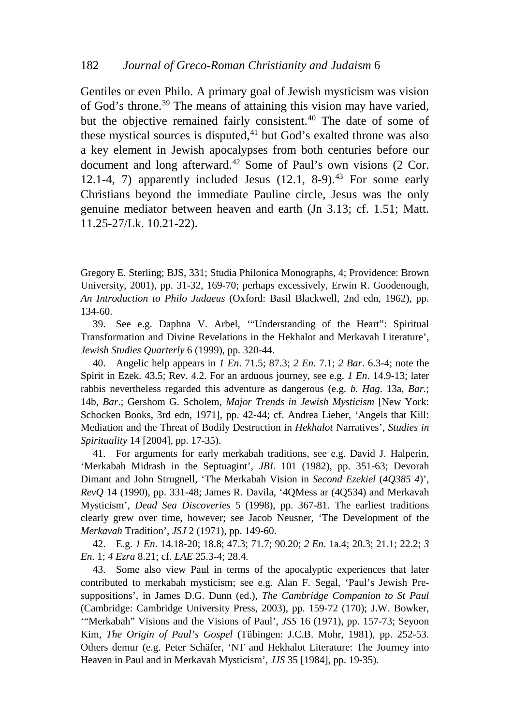Gentiles or even Philo. A primary goal of Jewish mysticism was vision of God's throne.<sup>[39](#page-7-0)</sup> The means of attaining this vision may have varied, but the objective remained fairly consistent.<sup>[40](#page-7-1)</sup> The date of some of these mystical sources is disputed, $41$  but God's exalted throne was also a key element in Jewish apocalypses from both centuries before our document and long afterward.<sup>[42](#page-7-3)</sup> Some of Paul's own visions (2 Cor. 12.1-4, 7) apparently included Jesus  $(12.1, 8-9)$ .<sup>[43](#page-7-4)</sup> For some early Christians beyond the immediate Pauline circle, Jesus was the only genuine mediator between heaven and earth (Jn 3.13; cf. 1.51; Matt. 11.25-27/Lk. 10.21-22).

Gregory E. Sterling; BJS, 331; Studia Philonica Monographs, 4; Providence: Brown University, 2001), pp. 31-32, 169-70; perhaps excessively, Erwin R. Goodenough, *An Introduction to Philo Judaeus* (Oxford: Basil Blackwell, 2nd edn, 1962), pp. 134-60.

<span id="page-7-0"></span>39. See e.g. Daphna V. Arbel, '"Understanding of the Heart": Spiritual Transformation and Divine Revelations in the Hekhalot and Merkavah Literature', *Jewish Studies Quarterly* 6 (1999), pp. 320-44.

<span id="page-7-1"></span>40. Angelic help appears in *1 En*. 71.5; 87.3; *2 En*. 7.1; *2 Bar*. 6.3-4; note the Spirit in Ezek. 43.5; Rev. 4.2. For an arduous journey, see e.g. *1 En*. 14.9-13; later rabbis nevertheless regarded this adventure as dangerous (e.g. *b. Hag.* 13a, *Bar.*; 14b, *Bar*.; Gershom G. Scholem, *Major Trends in Jewish Mysticism* [New York: Schocken Books, 3rd edn, 1971], pp. 42-44; cf. Andrea Lieber, 'Angels that Kill: Mediation and the Threat of Bodily Destruction in *Hekhalot* Narratives', *Studies in Spirituality* 14 [2004], pp. 17-35).

<span id="page-7-2"></span>41. For arguments for early merkabah traditions, see e.g. David J. Halperin, 'Merkabah Midrash in the Septuagint', *JBL* 101 (1982), pp. 351-63; Devorah Dimant and John Strugnell, 'The Merkabah Vision in *Second Ezekiel* (*4Q385 4*)', *RevQ* 14 (1990), pp. 331-48; James R. Davila, '4QMess ar (4Q534) and Merkavah Mysticism', *Dead Sea Discoveries* 5 (1998), pp. 367-81. The earliest traditions clearly grew over time, however; see Jacob Neusner, 'The Development of the *Merkavah* Tradition', *JSJ* 2 (1971), pp. 149-60.

<span id="page-7-3"></span>42. E.g. *1 En*. 14.18-20; 18.8; 47.3; 71.7; 90.20; *2 En*. 1a.4; 20.3; 21.1; 22.2; *3 En*. 1; *4 Ezra* 8.21; cf. *LAE* 25.3-4; 28.4.

<span id="page-7-4"></span>43. Some also view Paul in terms of the apocalyptic experiences that later contributed to merkabah mysticism; see e.g. Alan F. Segal, 'Paul's Jewish Presuppositions', in James D.G. Dunn (ed.), *The Cambridge Companion to St Paul* (Cambridge: Cambridge University Press, 2003), pp. 159-72 (170); J.W. Bowker, '"Merkabah" Visions and the Visions of Paul', *JSS* 16 (1971), pp. 157-73; Seyoon Kim, *The Origin of Paul's Gospel* (Tübingen: J.C.B. Mohr, 1981), pp. 252-53. Others demur (e.g. Peter Schäfer, 'NT and Hekhalot Literature: The Journey into Heaven in Paul and in Merkavah Mysticism', *JJS* 35 [1984], pp. 19-35).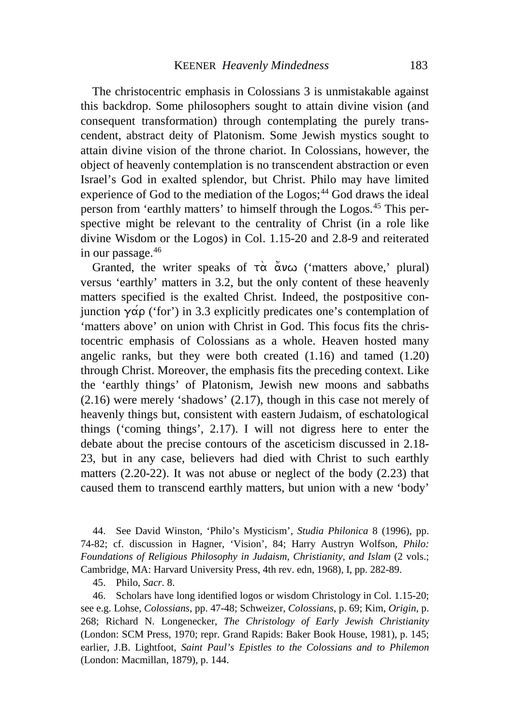The christocentric emphasis in Colossians 3 is unmistakable against this backdrop. Some philosophers sought to attain divine vision (and consequent transformation) through contemplating the purely transcendent, abstract deity of Platonism. Some Jewish mystics sought to attain divine vision of the throne chariot. In Colossians, however, the object of heavenly contemplation is no transcendent abstraction or even Israel's God in exalted splendor, but Christ. Philo may have limited experience of God to the mediation of the Logos;<sup>[44](#page-8-0)</sup> God draws the ideal person from 'earthly matters' to himself through the Logos.[45](#page-8-1) This perspective might be relevant to the centrality of Christ (in a role like divine Wisdom or the Logos) in Col. 1.15-20 and 2.8-9 and reiterated in our passage.[46](#page-8-2)

Granted, the writer speaks of  $\vec{\alpha}$   $\vec{\alpha}$   $\nu\omega$  ('matters above,' plural) versus 'earthly' matters in 3.2, but the only content of these heavenly matters specified is the exalted Christ. Indeed, the postpositive conjunction  $\gamma \alpha \rho$  ('for') in 3.3 explicitly predicates one's contemplation of 'matters above' on union with Christ in God. This focus fits the christocentric emphasis of Colossians as a whole. Heaven hosted many angelic ranks, but they were both created (1.16) and tamed (1.20) through Christ. Moreover, the emphasis fits the preceding context. Like the 'earthly things' of Platonism, Jewish new moons and sabbaths (2.16) were merely 'shadows' (2.17), though in this case not merely of heavenly things but, consistent with eastern Judaism, of eschatological things ('coming things', 2.17). I will not digress here to enter the debate about the precise contours of the asceticism discussed in 2.18- 23, but in any case, believers had died with Christ to such earthly matters (2.20-22). It was not abuse or neglect of the body (2.23) that caused them to transcend earthly matters, but union with a new 'body'

<span id="page-8-0"></span>44. See David Winston, 'Philo's Mysticism', *Studia Philonica* 8 (1996), pp. 74-82; cf. discussion in Hagner, 'Vision', 84; Harry Austryn Wolfson, *Philo: Foundations of Religious Philosophy in Judaism, Christianity, and Islam* (2 vols.; Cambridge, MA: Harvard University Press, 4th rev. edn, 1968), I, pp. 282-89.

45. Philo, *Sacr.* 8.

<span id="page-8-2"></span><span id="page-8-1"></span>46. Scholars have long identified logos or wisdom Christology in Col. 1.15-20; see e.g. Lohse, *Colossians*, pp. 47-48; Schweizer, *Colossians*, p. 69; Kim, *Origin*, p. 268; Richard N. Longenecker, *The Christology of Early Jewish Christianity* (London: SCM Press, 1970; repr. Grand Rapids: Baker Book House, 1981), p. 145; earlier, J.B. Lightfoot, *Saint Paul's Epistles to the Colossians and to Philemon* (London: Macmillan, 1879), p. 144.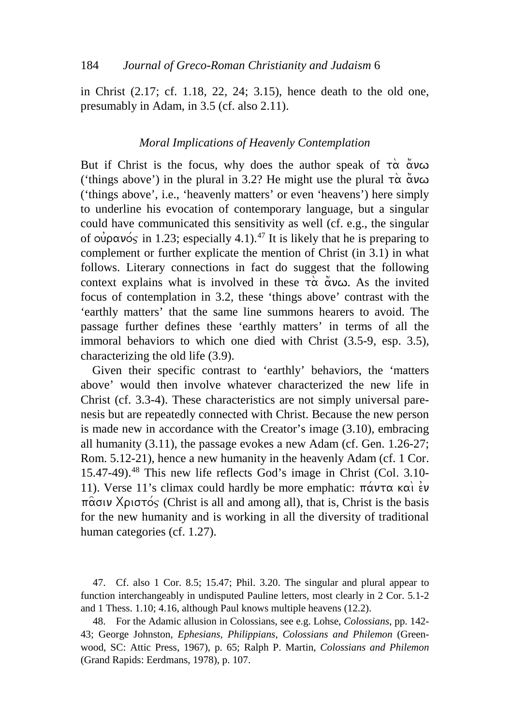in Christ (2.17; cf. 1.18, 22, 24; 3.15), hence death to the old one, presumably in Adam, in 3.5 (cf. also 2.11).

#### *Moral Implications of Heavenly Contemplation*

But if Christ is the focus, why does the author speak of  $\vec{\alpha} \times \vec{\alpha} \times \vec{\alpha}$ ('things above') in the plural in 3.2? He might use the plural  $\tau \alpha \alpha$   $\alpha$   $\alpha$ ('things above', i.e., 'heavenly matters' or even 'heavens') here simply to underline his evocation of contemporary language, but a singular could have communicated this sensitivity as well (cf. e.g., the singular of  $\omega \rho \propto \omega \sim$  in 1.23; especially 4.1).<sup>[47](#page-9-0)</sup> It is likely that he is preparing to complement or further explicate the mention of Christ (in 3.1) in what follows. Literary connections in fact do suggest that the following context explains what is involved in these  $\vec{\tau} \alpha$   $\alpha \alpha$ . As the invited focus of contemplation in 3.2, these 'things above' contrast with the 'earthly matters' that the same line summons hearers to avoid. The passage further defines these 'earthly matters' in terms of all the immoral behaviors to which one died with Christ (3.5-9, esp. 3.5), characterizing the old life (3.9).

Given their specific contrast to 'earthly' behaviors, the 'matters above' would then involve whatever characterized the new life in Christ (cf. 3.3-4). These characteristics are not simply universal parenesis but are repeatedly connected with Christ. Because the new person is made new in accordance with the Creator's image (3.10), embracing all humanity (3.11), the passage evokes a new Adam (cf. Gen. 1.26-27; Rom. 5.12-21), hence a new humanity in the heavenly Adam (cf. 1 Cor. 15.47-49). [48](#page-9-1) This new life reflects God's image in Christ (Col. 3.10- 11). Verse 11's climax could hardly be more emphatic:  $\pi \alpha \nu \tau \alpha \kappa \alpha$  is  $\nu$  $\pi \hat{\alpha}$ σιν Χριστός (Christ is all and among all), that is, Christ is the basis for the new humanity and is working in all the diversity of traditional human categories (cf. 1.27).

<span id="page-9-0"></span>47. Cf. also 1 Cor. 8.5; 15.47; Phil. 3.20. The singular and plural appear to function interchangeably in undisputed Pauline letters, most clearly in 2 Cor. 5.1-2 and 1 Thess. 1.10; 4.16, although Paul knows multiple heavens (12.2).

<span id="page-9-1"></span>48. For the Adamic allusion in Colossians, see e.g. Lohse, *Colossians*, pp. 142- 43; George Johnston, *Ephesians, Philippians, Colossians and Philemon* (Greenwood, SC: Attic Press, 1967), p. 65; Ralph P. Martin, *Colossians and Philemon* (Grand Rapids: Eerdmans, 1978), p. 107.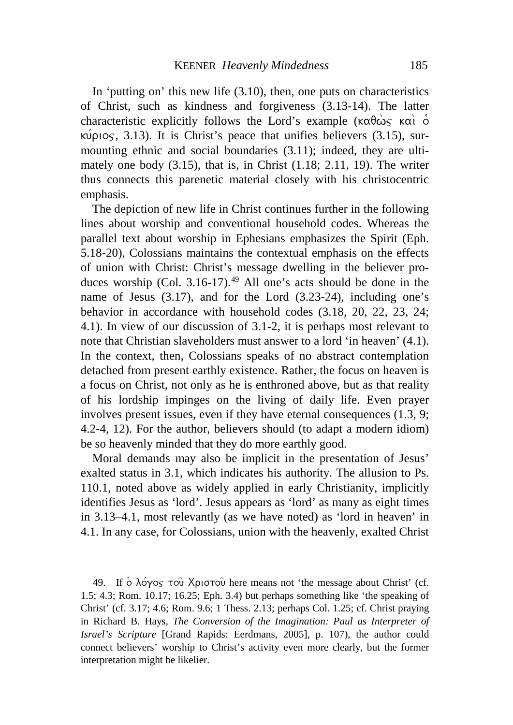In 'putting on' this new life (3.10), then, one puts on characteristics of Christ, such as kindness and forgiveness (3.13-14). The latter characteristic explicitly follows the Lord's example ( $\kappa \alpha \theta \dot{\omega}_S$   $\kappa \alpha \dot{\theta}$ )  $\kappa \psi \rho \log$ , 3.13). It is Christ's peace that unifies believers (3.15), surmounting ethnic and social boundaries (3.11); indeed, they are ultimately one body (3.15), that is, in Christ (1.18; 2.11, 19). The writer thus connects this parenetic material closely with his christocentric emphasis.

The depiction of new life in Christ continues further in the following lines about worship and conventional household codes. Whereas the parallel text about worship in Ephesians emphasizes the Spirit (Eph. 5.18-20), Colossians maintains the contextual emphasis on the effects of union with Christ: Christ's message dwelling in the believer produces worship  $(Col. 3.16-17).<sup>49</sup>$  $(Col. 3.16-17).<sup>49</sup>$  $(Col. 3.16-17).<sup>49</sup>$  All one's acts should be done in the name of Jesus (3.17), and for the Lord (3.23-24), including one's behavior in accordance with household codes (3.18, 20, 22, 23, 24; 4.1). In view of our discussion of 3.1-2, it is perhaps most relevant to note that Christian slaveholders must answer to a lord 'in heaven' (4.1). In the context, then, Colossians speaks of no abstract contemplation detached from present earthly existence. Rather, the focus on heaven is a focus on Christ, not only as he is enthroned above, but as that reality of his lordship impinges on the living of daily life. Even prayer involves present issues, even if they have eternal consequences (1.3, 9; 4.2-4, 12). For the author, believers should (to adapt a modern idiom) be so heavenly minded that they do more earthly good.

Moral demands may also be implicit in the presentation of Jesus' exalted status in 3.1, which indicates his authority. The allusion to Ps. 110.1, noted above as widely applied in early Christianity, implicitly identifies Jesus as 'lord'. Jesus appears as 'lord' as many as eight times in 3.13–4.1, most relevantly (as we have noted) as 'lord in heaven' in 4.1. In any case, for Colossians, union with the heavenly, exalted Christ

<span id="page-10-0"></span>49. If  $\delta$   $\lambda$ o $\gamma$ os tou $\alpha$  Xpiotou here means not 'the message about Christ' (cf. 1.5; 4.3; Rom. 10.17; 16.25; Eph. 3.4) but perhaps something like 'the speaking of Christ' (cf. 3.17; 4.6; Rom. 9.6; 1 Thess. 2.13; perhaps Col. 1.25; cf. Christ praying in Richard B. Hays, *The Conversion of the Imagination: Paul as Interpreter of Israel's Scripture* [Grand Rapids: Eerdmans, 2005], p. 107), the author could connect believers' worship to Christ's activity even more clearly, but the former interpretation might be likelier.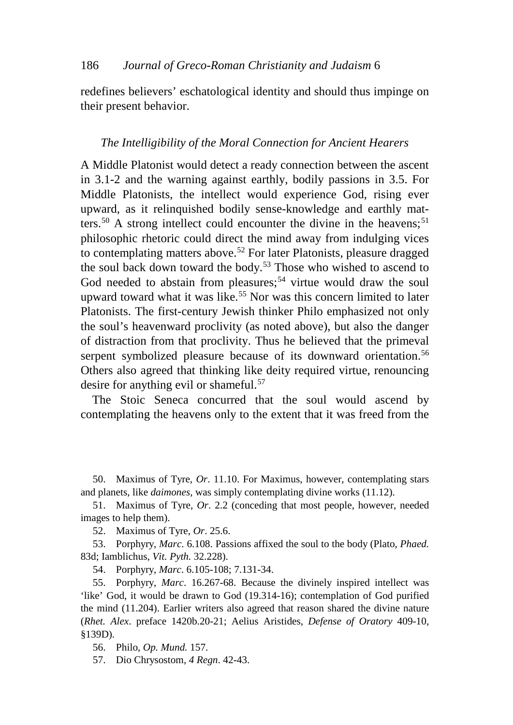redefines believers' eschatological identity and should thus impinge on their present behavior.

### *The Intelligibility of the Moral Connection for Ancient Hearers*

A Middle Platonist would detect a ready connection between the ascent in 3.1-2 and the warning against earthly, bodily passions in 3.5. For Middle Platonists, the intellect would experience God, rising ever upward, as it relinquished bodily sense-knowledge and earthly mat-ters.<sup>[50](#page-11-0)</sup> A strong intellect could encounter the divine in the heavens;<sup>[51](#page-11-1)</sup> philosophic rhetoric could direct the mind away from indulging vices to contemplating matters above.<sup>[52](#page-11-2)</sup> For later Platonists, pleasure dragged the soul back down toward the body.<sup>[53](#page-11-3)</sup> Those who wished to ascend to God needed to abstain from pleasures;<sup>[54](#page-11-4)</sup> virtue would draw the soul upward toward what it was like.<sup>[55](#page-11-5)</sup> Nor was this concern limited to later Platonists. The first-century Jewish thinker Philo emphasized not only the soul's heavenward proclivity (as noted above), but also the danger of distraction from that proclivity. Thus he believed that the primeval serpent symbolized pleasure because of its downward orientation.<sup>[56](#page-11-6)</sup> Others also agreed that thinking like deity required virtue, renouncing desire for anything evil or shameful.[57](#page-11-7)

The Stoic Seneca concurred that the soul would ascend by contemplating the heavens only to the extent that it was freed from the

<span id="page-11-0"></span>50. Maximus of Tyre, *Or*. 11.10. For Maximus, however, contemplating stars and planets, like *daimones*, was simply contemplating divine works (11.12).

<span id="page-11-1"></span>51. Maximus of Tyre, *Or*. 2.2 (conceding that most people, however, needed images to help them).

52. Maximus of Tyre, *Or*. 25.6.

<span id="page-11-3"></span><span id="page-11-2"></span>53. Porphyry, *Marc*. 6.108. Passions affixed the soul to the body (Plato, *Phaed.* 83d; Iamblichus, *Vit. Pyth.* 32.228).

54. Porphyry, *Marc*. 6.105-108; 7.131-34.

<span id="page-11-5"></span><span id="page-11-4"></span>55. Porphyry, *Marc*. 16.267-68. Because the divinely inspired intellect was 'like' God, it would be drawn to God (19.314-16); contemplation of God purified the mind (11.204). Earlier writers also agreed that reason shared the divine nature (*Rhet. Alex*. preface 1420b.20-21; Aelius Aristides, *Defense of Oratory* 409-10, §139D).

<span id="page-11-6"></span>56. Philo, *Op. Mund.* 157.

<span id="page-11-7"></span>57. Dio Chrysostom, *4 Regn*. 42-43.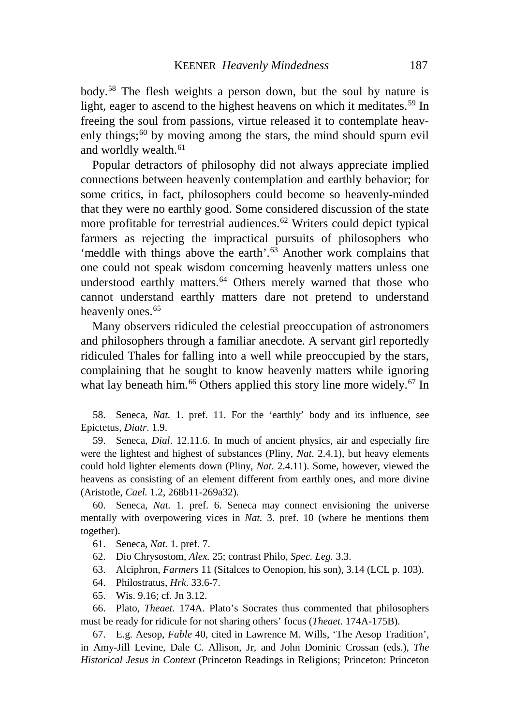body.[58](#page-12-0) The flesh weights a person down, but the soul by nature is light, eager to ascend to the highest heavens on which it meditates.<sup>[59](#page-12-1)</sup> In freeing the soul from passions, virtue released it to contemplate heavenly things; $60$  by moving among the stars, the mind should spurn evil and worldly wealth.<sup>[61](#page-12-3)</sup>

Popular detractors of philosophy did not always appreciate implied connections between heavenly contemplation and earthly behavior; for some critics, in fact, philosophers could become so heavenly-minded that they were no earthly good. Some considered discussion of the state more profitable for terrestrial audiences.<sup>[62](#page-12-4)</sup> Writers could depict typical farmers as rejecting the impractical pursuits of philosophers who 'meddle with things above the earth'.<sup>[63](#page-12-5)</sup> Another work complains that one could not speak wisdom concerning heavenly matters unless one understood earthly matters.<sup>[64](#page-12-6)</sup> Others merely warned that those who cannot understand earthly matters dare not pretend to understand heavenly ones.<sup>[65](#page-12-7)</sup>

Many observers ridiculed the celestial preoccupation of astronomers and philosophers through a familiar anecdote. A servant girl reportedly ridiculed Thales for falling into a well while preoccupied by the stars, complaining that he sought to know heavenly matters while ignoring what lay beneath him.<sup>[66](#page-12-8)</sup> Others applied this story line more widely.<sup>[67](#page-12-9)</sup> In

<span id="page-12-0"></span>58. Seneca, *Nat.* 1. pref. 11. For the 'earthly' body and its influence, see Epictetus, *Diatr*. 1.9.

<span id="page-12-1"></span>59. Seneca, *Dial*. 12.11.6. In much of ancient physics, air and especially fire were the lightest and highest of substances (Pliny, *Nat*. 2.4.1), but heavy elements could hold lighter elements down (Pliny, *Nat*. 2.4.11). Some, however, viewed the heavens as consisting of an element different from earthly ones, and more divine (Aristotle, *Cael.* 1.2, 268b11-269a32).

<span id="page-12-3"></span><span id="page-12-2"></span>60. Seneca, *Nat.* 1. pref. 6. Seneca may connect envisioning the universe mentally with overpowering vices in *Nat.* 3. pref. 10 (where he mentions them together).

61. Seneca, *Nat.* 1. pref. 7.

<span id="page-12-4"></span>62. Dio Chrysostom, *Alex.* 25; contrast Philo, *Spec. Leg.* 3.3.

63. Alciphron, *Farmers* 11 (Sitalces to Oenopion, his son), 3.14 (LCL p. 103).

64. Philostratus, *Hrk*. 33.6-7.

65. Wis. 9.16; cf. Jn 3.12.

<span id="page-12-8"></span><span id="page-12-7"></span><span id="page-12-6"></span><span id="page-12-5"></span>66. Plato, *Theaet.* 174A. Plato's Socrates thus commented that philosophers must be ready for ridicule for not sharing others' focus (*Theaet.* 174A-175B).

<span id="page-12-9"></span>67. E.g. Aesop, *Fable* 40, cited in Lawrence M. Wills, 'The Aesop Tradition', in Amy-Jill Levine, Dale C. Allison, Jr, and John Dominic Crossan (eds.), *The Historical Jesus in Context* (Princeton Readings in Religions; Princeton: Princeton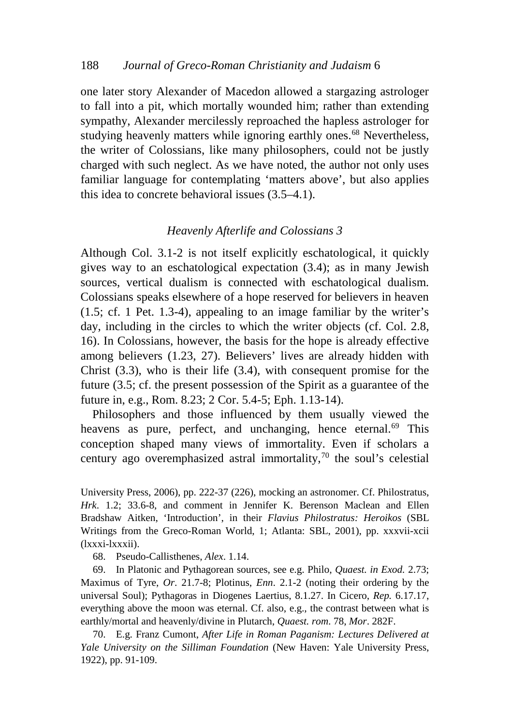one later story Alexander of Macedon allowed a stargazing astrologer to fall into a pit, which mortally wounded him; rather than extending sympathy, Alexander mercilessly reproached the hapless astrologer for studying heavenly matters while ignoring earthly ones.<sup>[68](#page-13-0)</sup> Nevertheless, the writer of Colossians, like many philosophers, could not be justly charged with such neglect. As we have noted, the author not only uses familiar language for contemplating 'matters above', but also applies this idea to concrete behavioral issues (3.5–4.1).

## *Heavenly Afterlife and Colossians 3*

Although Col. 3.1-2 is not itself explicitly eschatological, it quickly gives way to an eschatological expectation (3.4); as in many Jewish sources, vertical dualism is connected with eschatological dualism. Colossians speaks elsewhere of a hope reserved for believers in heaven (1.5; cf. 1 Pet. 1.3-4), appealing to an image familiar by the writer's day, including in the circles to which the writer objects (cf. Col. 2.8, 16). In Colossians, however, the basis for the hope is already effective among believers (1.23, 27). Believers' lives are already hidden with Christ (3.3), who is their life (3.4), with consequent promise for the future (3.5; cf. the present possession of the Spirit as a guarantee of the future in, e.g., Rom. 8.23; 2 Cor. 5.4-5; Eph. 1.13-14).

Philosophers and those influenced by them usually viewed the heavens as pure, perfect, and unchanging, hence eternal.<sup>[69](#page-13-1)</sup> This conception shaped many views of immortality. Even if scholars a century ago overemphasized astral immortality, $70$  the soul's celestial

University Press, 2006), pp. 222-37 (226), mocking an astronomer. Cf. Philostratus, *Hrk*. 1.2; 33.6-8, and comment in Jennifer K. Berenson Maclean and Ellen Bradshaw Aitken, 'Introduction', in their *Flavius Philostratus: Heroikos* (SBL Writings from the Greco-Roman World, 1; Atlanta: SBL, 2001), pp. xxxvii-xcii (lxxxi-lxxxii).

68. Pseudo-Callisthenes, *Alex*. 1.14.

<span id="page-13-1"></span><span id="page-13-0"></span>69. In Platonic and Pythagorean sources, see e.g. Philo, *Quaest. in Exod.* 2.73; Maximus of Tyre, *Or*. 21.7-8; Plotinus, *Enn*. 2.1-2 (noting their ordering by the universal Soul); Pythagoras in Diogenes Laertius, 8.1.27. In Cicero, *Rep.* 6.17.17, everything above the moon was eternal. Cf. also, e.g., the contrast between what is earthly/mortal and heavenly/divine in Plutarch, *Quaest. rom*. 78, *Mor*. 282F.

<span id="page-13-2"></span>70. E.g. Franz Cumont, *After Life in Roman Paganism: Lectures Delivered at Yale University on the Silliman Foundation* (New Haven: Yale University Press, 1922), pp. 91-109.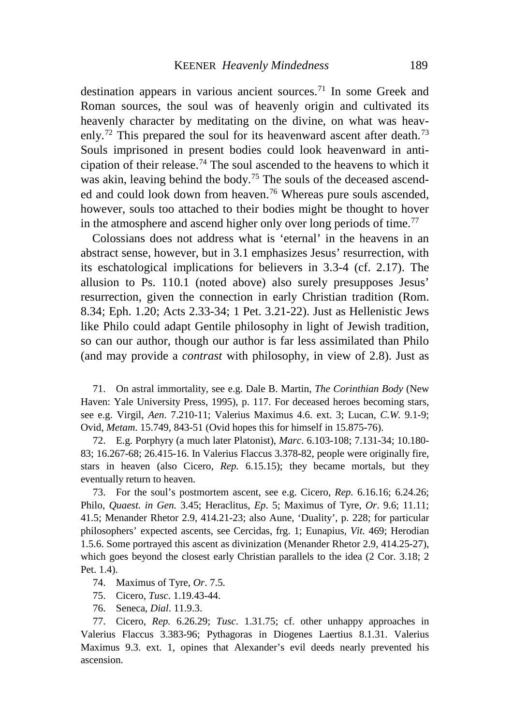destination appears in various ancient sources.<sup>[71](#page-14-0)</sup> In some Greek and Roman sources, the soul was of heavenly origin and cultivated its heavenly character by meditating on the divine, on what was heav-enly.<sup>[72](#page-14-1)</sup> This prepared the soul for its heavenward ascent after death.<sup>[73](#page-14-2)</sup> Souls imprisoned in present bodies could look heavenward in anticipation of their release.[74](#page-14-3) The soul ascended to the heavens to which it was akin, leaving behind the body.<sup>[75](#page-14-4)</sup> The souls of the deceased ascend-ed and could look down from heaven.<sup>[76](#page-14-5)</sup> Whereas pure souls ascended, however, souls too attached to their bodies might be thought to hover in the atmosphere and ascend higher only over long periods of time.<sup>[77](#page-14-6)</sup>

Colossians does not address what is 'eternal' in the heavens in an abstract sense, however, but in 3.1 emphasizes Jesus' resurrection, with its eschatological implications for believers in 3.3-4 (cf. 2.17). The allusion to Ps. 110.1 (noted above) also surely presupposes Jesus' resurrection, given the connection in early Christian tradition (Rom. 8.34; Eph. 1.20; Acts 2.33-34; 1 Pet. 3.21-22). Just as Hellenistic Jews like Philo could adapt Gentile philosophy in light of Jewish tradition, so can our author, though our author is far less assimilated than Philo (and may provide a *contrast* with philosophy, in view of 2.8). Just as

<span id="page-14-0"></span>71. On astral immortality, see e.g. Dale B. Martin, *The Corinthian Body* (New Haven: Yale University Press, 1995), p. 117. For deceased heroes becoming stars, see e.g. Virgil, *Aen*. 7.210-11; Valerius Maximus 4.6. ext. 3; Lucan, *C.W.* 9.1-9; Ovid, *Metam*. 15.749, 843-51 (Ovid hopes this for himself in 15.875-76).

<span id="page-14-1"></span>72. E.g. Porphyry (a much later Platonist), *Marc*. 6.103-108; 7.131-34; 10.180- 83; 16.267-68; 26.415-16. In Valerius Flaccus 3.378-82, people were originally fire, stars in heaven (also Cicero, *Rep.* 6.15.15); they became mortals, but they eventually return to heaven.

<span id="page-14-2"></span>73. For the soul's postmortem ascent, see e.g. Cicero, *Rep.* 6.16.16; 6.24.26; Philo, *Quaest. in Gen.* 3.45; Heraclitus, *Ep*. 5; Maximus of Tyre, *Or*. 9.6; 11.11; 41.5; Menander Rhetor 2.9, 414.21-23; also Aune, 'Duality', p. 228; for particular philosophers' expected ascents, see Cercidas, frg. 1; Eunapius, *Vit.* 469; Herodian 1.5.6. Some portrayed this ascent as divinization (Menander Rhetor 2.9, 414.25-27), which goes beyond the closest early Christian parallels to the idea (2 Cor. 3.18; 2 Pet. 1.4).

- 74. Maximus of Tyre, *Or*. 7.5.
- 75. Cicero, *Tusc*. 1.19.43-44.
- 76. Seneca, *Dial*. 11.9.3.

<span id="page-14-6"></span><span id="page-14-5"></span><span id="page-14-4"></span><span id="page-14-3"></span>77. Cicero, *Rep.* 6.26.29; *Tusc*. 1.31.75; cf. other unhappy approaches in Valerius Flaccus 3.383-96; Pythagoras in Diogenes Laertius 8.1.31. Valerius Maximus 9.3. ext. 1, opines that Alexander's evil deeds nearly prevented his ascension.